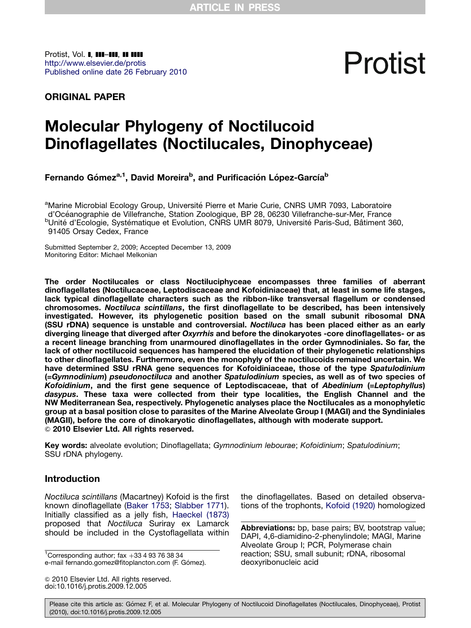**Protist, Vol. 1. 111-111. 11 1111** <http://www.elsevier.de/protis> [Published online date 26 February 2010](http://www.elsevier.de/protis)

# Protist

ORIGINAL PAPER

# Molecular Phylogeny of Noctilucoid Dinoflagellates (Noctilucales, Dinophyceae)

Fernando Gómez<sup>a,1</sup>, David Moreira<sup>b</sup>, and Purificación López-García<sup>b</sup>

<sup>a</sup>Marine Microbial Ecology Group, Université Pierre et Marie Curie, CNRS UMR 7093, Laboratoire d'Océanographie de Villefranche, Station Zoologique, BP 28, 06230 Villefranche-sur-Mer, France <sup>b</sup>Unité d'Ecologie, Systématique et Evolution, CNRS UMR 8079, Université Paris-Sud, Bâtiment 360, 91405 Orsay Cedex, France

Submitted September 2, 2009; Accepted December 13, 2009 Monitoring Editor: Michael Melkonian

The order Noctilucales or class Noctiluciphyceae encompasses three families of aberrant dinoflagellates (Noctilucaceae, Leptodiscaceae and Kofoidiniaceae) that, at least in some life stages, lack typical dinoflagellate characters such as the ribbon-like transversal flagellum or condensed chromosomes. Noctiluca scintillans, the first dinoflagellate to be described, has been intensively investigated. However, its phylogenetic position based on the small subunit ribosomal DNA (SSU rDNA) sequence is unstable and controversial. Noctiluca has been placed either as an early diverging lineage that diverged after Oxyrrhis and before the dinokaryotes -core dinoflagellates- or as a recent lineage branching from unarmoured dinoflagellates in the order Gymnodiniales. So far, the lack of other noctilucoid sequences has hampered the elucidation of their phylogenetic relationships to other dinoflagellates. Furthermore, even the monophyly of the noctilucoids remained uncertain. We have determined SSU rRNA gene sequences for Kofoidiniaceae, those of the type Spatulodinium (=Gymnodinium) pseudonoctiluca and another Spatulodinium species, as well as of two species of Kofoidinium, and the first gene sequence of Leptodiscaceae, that of Abedinium (=Leptophyllus) dasypus. These taxa were collected from their type localities, the English Channel and the NW Mediterranean Sea, respectively. Phylogenetic analyses place the Noctilucales as a monophyletic group at a basal position close to parasites of the Marine Alveolate Group I (MAGI) and the Syndiniales (MAGII), before the core of dinokaryotic dinoflagellates, although with moderate support. © 2010 Elsevier Ltd. All rights reserved.

Key words: alveolate evolution; Dinoflagellata; Gymnodinium lebourae; Kofoidinium; Spatulodinium; SSU rDNA phylogeny.

# Introduction

Noctiluca scintillans (Macartney) Kofoid is the first known dinoflagellate [\(Baker 1753](#page-10-0); [Slabber 1771](#page-12-0)). Initially classified as a jelly fish, [Haeckel \(1873\)](#page-11-0) proposed that Noctiluca Suriray ex Lamarck should be included in the Cystoflagellata within

<sup>1</sup>Corresponding author; fax  $+33$  4 93 76 38 34 e-mail fernando.gomez@fitoplancton.com (F. Gómez).

 $©$  2010 Elsevier Ltd. All rights reserved. doi:[10.1016/j.protis.2009.12.005](dx.doi.org/10.1016/j.protis.2009.12.005)

the dinoflagellates. Based on detailed observations of the trophonts, [Kofoid \(1920\)](#page-11-0) homologized

Abbreviations: bp, base pairs; BV, bootstrap value; DAPI, 4,6-diamidino-2-phenylindole; MAGI, Marine Alveolate Group I; PCR, Polymerase chain reaction; SSU, small subunit; rDNA, ribosomal deoxyribonucleic acid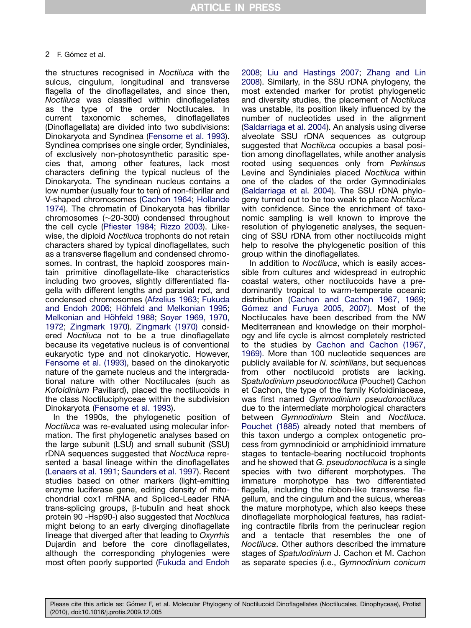the structures recognised in Noctiluca with the sulcus, cingulum, longitudinal and transverse flagella of the dinoflagellates, and since then, Noctiluca was classified within dinoflagellates as the type of the order Noctilucales. In current taxonomic schemes, dinoflagellates (Dinoflagellata) are divided into two subdivisions: Dinokaryota and Syndinea ([Fensome et al. 1993\)](#page-10-0). Syndinea comprises one single order, Syndiniales, of exclusively non-photosynthetic parasitic species that, among other features, lack most characters defining the typical nucleus of the Dinokaryota. The syndinean nucleus contains a low number (usually four to ten) of non-fibrillar and V-shaped chromosomes [\(Cachon 1964](#page-10-0); [Hollande](#page-11-0) [1974](#page-11-0)). The chromatin of Dinokaryota has fibrillar chromosomes  $(\sim]20-300)$  condensed throughout the cell cycle ([Pfiester 1984;](#page-11-0) [Rizzo 2003](#page-11-0)). Likewise, the diploid Noctiluca trophonts do not retain characters shared by typical dinoflagellates, such as a transverse flagellum and condensed chromosomes. In contrast, the haploid zoospores maintain primitive dinoflagellate-like characteristics including two grooves, slightly differentiated flagella with different lengths and paraxial rod, and condensed chromosomes [\(Afzelius 1963](#page-10-0); [Fukuda](#page-10-0) [and Endoh 2006;](#page-10-0) Höhfeld and Melkonian 1995; Melkonian and Höhfeld 1988; [Soyer 1969, 1970,](#page-12-0) [1972](#page-12-0); [Zingmark 1970](#page-12-0)). [Zingmark \(1970\)](#page-12-0) considered Noctiluca not to be a true dinoflagellate because its vegetative nucleus is of conventional eukaryotic type and not dinokaryotic. However, [Fensome et al. \(1993\)](#page-10-0), based on the dinokaryotic nature of the gamete nucleus and the intergradational nature with other Noctilucales (such as Kofoidinium Pavillard), placed the noctilucoids in the class Noctiluciphyceae within the subdivision Dinokaryota ([Fensome et al. 1993](#page-10-0)).

In the 1990s, the phylogenetic position of Noctiluca was re-evaluated using molecular information. The first phylogenetic analyses based on the large subunit (LSU) and small subunit (SSU) rDNA sequences suggested that Noctiluca represented a basal lineage within the dinoflagellates [\(Lenaers et al. 1991](#page-11-0); [Saunders et al. 1997](#page-11-0)). Recent studies based on other markers (light-emitting enzyme luciferase gene, editing density of mitochondrial cox1 mRNA and Spliced-Leader RNA trans-splicing groups,  $\beta$ -tubulin and heat shock protein 90 -Hsp90-) also suggested that Noctiluca might belong to an early diverging dinoflagellate lineage that diverged after that leading to Oxyrrhis Dujardin and before the core dinoflagellates, although the corresponding phylogenies were most often poorly supported [\(Fukuda and Endoh](#page-10-0)

[2008;](#page-10-0) [Liu and Hastings 2007](#page-11-0); [Zhang and Lin](#page-12-0) [2008\)](#page-12-0). Similarly, in the SSU rDNA phylogeny, the most extended marker for protist phylogenetic and diversity studies, the placement of Noctiluca was unstable, its position likely influenced by the number of nucleotides used in the alignment [\(Saldarriaga et al. 2004\)](#page-11-0). An analysis using diverse alveolate SSU rDNA sequences as outgroup suggested that Noctiluca occupies a basal position among dinoflagellates, while another analysis rooted using sequences only from Perkinsus Levine and Syndiniales placed Noctiluca within one of the clades of the order Gymnodiniales [\(Saldarriaga et al. 2004](#page-11-0)). The SSU rDNA phylogeny turned out to be too weak to place Noctiluca with confidence. Since the enrichment of taxonomic sampling is well known to improve the resolution of phylogenetic analyses, the sequencing of SSU rDNA from other noctilucoids might help to resolve the phylogenetic position of this group within the dinoflagellates.

In addition to Noctiluca, which is easily accessible from cultures and widespread in eutrophic coastal waters, other noctilucoids have a predominantly tropical to warm-temperate oceanic distribution [\(Cachon and Cachon 1967, 1969;](#page-10-0) Gó[mez and Furuya 2005, 2007\).](#page-10-0) Most of the Noctilucales have been described from the NW Mediterranean and knowledge on their morphology and life cycle is almost completely restricted to the studies by [Cachon and Cachon \(1967,](#page-10-0) [1969\)](#page-10-0). More than 100 nucleotide sequences are publicly available for N. scintillans, but sequences from other noctilucoid protists are lacking. Spatulodinium pseudonoctiluca (Pouchet) Cachon et Cachon, the type of the family Kofoidiniaceae, was first named Gymnodinium pseudonoctiluca due to the intermediate morphological characters between Gymnodinium Stein and Noctiluca. [Pouchet \(1885\)](#page-11-0) already noted that members of this taxon undergo a complex ontogenetic process from gymnodinioid or amphidinioid immature stages to tentacle-bearing noctilucoid trophonts and he showed that G. pseudonoctiluca is a single species with two different morphotypes. The immature morphotype has two differentiated flagella, including the ribbon-like transverse flagellum, and the cingulum and the sulcus, whereas the mature morphotype, which also keeps these dinoflagellate morphological features, has radiating contractile fibrils from the perinuclear region and a tentacle that resembles the one of Noctiluca. Other authors described the immature stages of Spatulodinium J. Cachon et M. Cachon as separate species (i.e., Gymnodinium conicum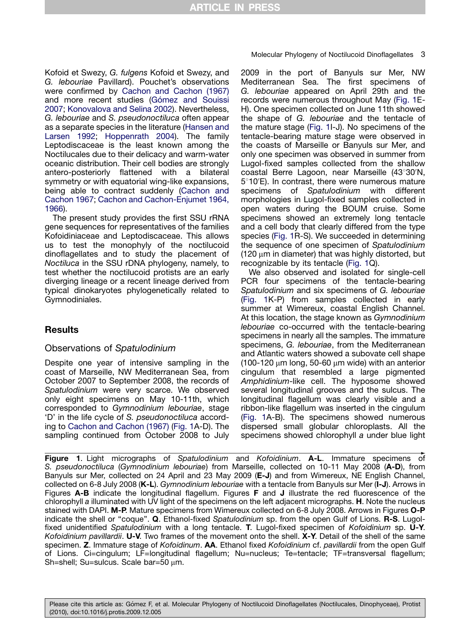<span id="page-2-0"></span>Kofoid et Swezy, G. fulgens Kofoid et Swezy, and G. lebouriae Pavillard). Pouchet's observations were confirmed by [Cachon and Cachon \(1967\)](#page-10-0) and more recent studies (Gó[mez and Souissi](#page-11-0) [2007;](#page-11-0) [Konovalova and Selina 2002\)](#page-11-0). Nevertheless, G. lebouriae and S. pseudonoctiluca often appear as a separate species in the literature [\(Hansen and](#page-11-0) [Larsen 1992;](#page-11-0) [Hoppenrath 2004\)](#page-11-0). The family Leptodiscaceae is the least known among the Noctilucales due to their delicacy and warm-water oceanic distribution. Their cell bodies are strongly antero-posteriorly flattened with a bilateral symmetry or with equatorial wing-like expansions, being able to contract suddenly [\(Cachon and](#page-10-0) [Cachon 1967;](#page-10-0) [Cachon and Cachon-Enjumet 1964,](#page-10-0) [1966\)](#page-10-0).

The present study provides the first SSU rRNA gene sequences for representatives of the families Kofoidiniaceae and Leptodiscaceae. This allows us to test the monophyly of the noctilucoid dinoflagellates and to study the placement of Noctiluca in the SSU rDNA phylogeny, namely, to test whether the noctilucoid protists are an early diverging lineage or a recent lineage derived from typical dinokaryotes phylogenetically related to Gymnodiniales.

# **Results**

#### Observations of Spatulodinium

Despite one year of intensive sampling in the coast of Marseille, NW Mediterranean Sea, from October 2007 to September 2008, the records of Spatulodinium were very scarce. We observed only eight specimens on May 10-11th, which corresponded to Gymnodinium lebouriae, stage 'D' in the life cycle of S. pseudonoctiluca according to [Cachon and Cachon \(1967\)](#page-10-0) (Fig. 1A-D). The sampling continued from October 2008 to July

#### Molecular Phylogeny of Noctilucoid Dinoflagellates 3

2009 in the port of Banyuls sur Mer, NW Mediterranean Sea. The first specimens of G. lebouriae appeared on April 29th and the records were numerous throughout May (Fig. 1E-H). One specimen collected on June 11th showed the shape of G. lebouriae and the tentacle of the mature stage (Fig. 1I-J). No specimens of the tentacle-bearing mature stage were observed in the coasts of Marseille or Banyuls sur Mer, and only one specimen was observed in summer from Lugol-fixed samples collected from the shallow coastal Berre Lagoon, near Marseille (43°30'N, 5°10'E). In contrast, there were numerous mature specimens of Spatulodinium with different morphologies in Lugol-fixed samples collected in open waters during the BOUM cruise. Some specimens showed an extremely long tentacle and a cell body that clearly differed from the type species (Fig. 1R-S). We succeeded in determining the sequence of one specimen of Spatulodinium (120  $\mu$ m in diameter) that was highly distorted, but recognizable by its tentacle (Fig. 1Q).

We also observed and isolated for single-cell PCR four specimens of the tentacle-bearing Spatulodinium and six specimens of G. lebouriae (Fig. 1K-P) from samples collected in early summer at Wimereux, coastal English Channel. At this location, the stage known as Gymnodinium lebouriae co-occurred with the tentacle-bearing specimens in nearly all the samples. The immature specimens, G. lebouriae, from the Mediterranean and Atlantic waters showed a subovate cell shape (100-120  $\mu$ m long, 50-60  $\mu$ m wide) with an anterior cingulum that resembled a large pigmented Amphidinium-like cell. The hyposome showed several longitudinal grooves and the sulcus. The longitudinal flagellum was clearly visible and a ribbon-like flagellum was inserted in the cingulum (Fig. 1A-B). The specimens showed numerous dispersed small globular chloroplasts. All the specimens showed chlorophyll a under blue light

Figure 1. Light micrographs of Spatulodinium and Kofoidinium. A-L. Immature specimens of S. pseudonoctiluca (Gymnodinium lebouriae) from Marseille, collected on 10-11 May 2008 (A-D), from Banyuls sur Mer, collected on 24 April and 23 May 2009 (E-J) and from Wimereux, NE English Channel, collected on 6-8 July 2008 (K-L). Gymnodinium lebouriae with a tentacle from Banyuls sur Mer (I-J). Arrows in Figures A-B indicate the longitudinal flagellum. Figures F and J illustrate the red fluorescence of the chlorophyll a illuminated with UV light of the specimens on the left adjacent micrographs. H. Note the nucleus stained with DAPI. M-P. Mature specimens from Wimereux collected on 6-8 July 2008. Arrows in Figures O-P indicate the shell or "coque". Q. Ethanol-fixed Spatulodinium sp. from the open Gulf of Lions. R-S. Lugolfixed unidentified Spatulodinium with a long tentacle. T. Lugol-fixed specimen of Kofoidinium sp. U-Y. Kofoidinium pavillardii. U-V. Two frames of the movement onto the shell. X-Y. Detail of the shell of the same specimen. Z. Immature stage of Kofoidinum. AA. Ethanol fixed Kofoidinium cf. pavillardii from the open Gulf of Lions. Ci=cingulum; LF=longitudinal flagellum; Nu=nucleus; Te=tentacle; TF=transversal flagellum; Sh=shell; Su=sulcus. Scale bar=50  $\mu$ m.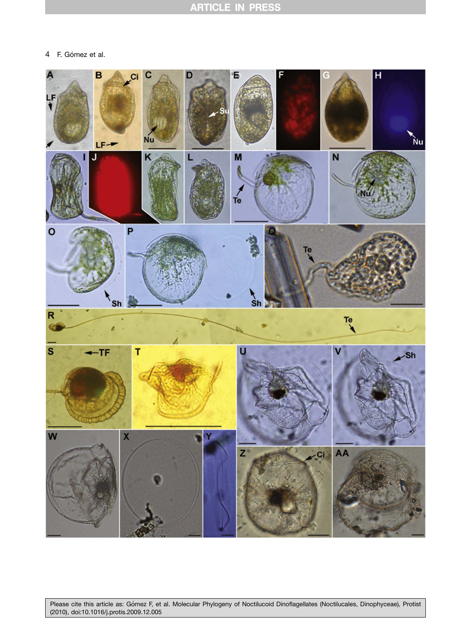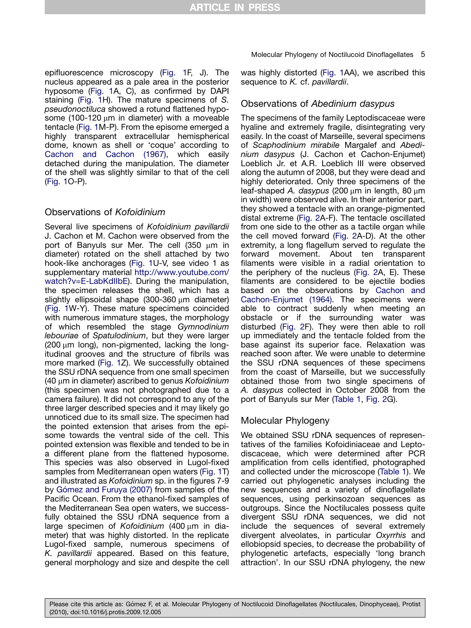epifluorescence microscopy [\(Fig. 1F](#page-2-0), J). The nucleus appeared as a pale area in the posterior hyposome [\(Fig. 1A](#page-2-0), C), as confirmed by DAPI staining [\(Fig. 1H](#page-2-0)). The mature specimens of S. pseudonoctiluca showed a rotund flattened hyposome  $(100-120 \mu m)$  in diameter) with a moveable tentacle [\(Fig. 1M](#page-2-0)-P). From the episome emerged a highly transparent extracellular hemispherical dome, known as shell or 'coque' according to [Cachon and Cachon \(1967\)](#page-10-0), which easily detached during the manipulation. The diameter of the shell was slightly similar to that of the cell [\(Fig. 1O](#page-2-0)-P).

# Observations of Kofoidinium

Several live specimens of Kofoidinium pavillardii J. Cachon et M. Cachon were observed from the port of Banyuls sur Mer. The cell  $(350 \mu m)$  in diameter) rotated on the shell attached by two hook-like anchorages [\(Fig. 1U](#page-2-0)-V, see video 1 as supplementary material [http://www.youtube.com/](http://www.youtube.com/watch?v=E-LabKdIIbE) [watch?v=E-LabKdIIbE\)](http://www.youtube.com/watch?v=E-LabKdIIbE). During the manipulation, the specimen releases the shell, which has a slightly ellipsoidal shape  $(300-360 \mu m)$  diameter) [\(Fig. 1](#page-2-0)W-Y). These mature specimens coincided with numerous immature stages, the morphology of which resembled the stage Gymnodinium lebouriae of Spatulodinium, but they were larger  $(200 \mu m)$  long), non-pigmented, lacking the longitudinal grooves and the structure of fibrils was more marked [\(Fig. 1](#page-2-0)Z). We successfully obtained the SSU rDNA sequence from one small specimen (40  $\mu$ m in diameter) ascribed to genus Kofoidinium (this specimen was not photographed due to a camera failure). It did not correspond to any of the three larger described species and it may likely go unnoticed due to its small size. The specimen had the pointed extension that arises from the episome towards the ventral side of the cell. This pointed extension was flexible and tended to be in a different plane from the flattened hyposome. This species was also observed in Lugol-fixed samples from Mediterranean open waters ([Fig. 1](#page-2-0)T) and illustrated as Kofoidinium sp. in the figures 7-9 by Gó[mez and Furuya \(2007\)](#page-11-0) from samples of the Pacific Ocean. From the ethanol-fixed samples of the Mediterranean Sea open waters, we successfully obtained the SSU rDNA sequence from a large specimen of Kofoidinium  $(400 \mu m)$  in diameter) that was highly distorted. In the replicate Lugol-fixed sample, numerous specimens of K. pavillardii appeared. Based on this feature, general morphology and size and despite the cell

#### Molecular Phylogeny of Noctilucoid Dinoflagellates 5

was highly distorted [\(Fig. 1](#page-2-0)AA), we ascribed this sequence to K. cf. pavillardii.

#### Observations of Abedinium dasypus

The specimens of the family Leptodiscaceae were hyaline and extremely fragile, disintegrating very easily. In the coast of Marseille, several specimens of Scaphodinium mirabile Margalef and Abedinium dasypus (J. Cachon et Cachon-Enjumet) Loeblich Jr. et A.R. Loeblich III were observed along the autumn of 2008, but they were dead and highly deteriorated. Only three specimens of the leaf-shaped A. dasypus (200  $\mu$ m in length, 80  $\mu$ m in width) were observed alive. In their anterior part, they showed a tentacle with an orange-pigmented distal extreme [\(Fig. 2A](#page-5-0)-F). The tentacle oscillated from one side to the other as a tactile organ while the cell moved forward ([Fig. 2A](#page-5-0)-D). At the other extremity, a long flagellum served to regulate the forward movement. About ten transparent filaments were visible in a radial orientation to the periphery of the nucleus [\(Fig. 2](#page-5-0)A, E). These filaments are considered to be ejectile bodies based on the observations by [Cachon and](#page-10-0) [Cachon-Enjumet \(1964\).](#page-10-0) The specimens were able to contract suddenly when meeting an obstacle or if the surrounding water was disturbed [\(Fig. 2](#page-5-0)F). They were then able to roll up immediately and the tentacle folded from the base against its superior face. Relaxation was reached soon after. We were unable to determine the SSU rDNA sequences of these specimens from the coast of Marseille, but we successfully obtained those from two single specimens of A. dasypus collected in October 2008 from the port of Banyuls sur Mer ([Table 1,](#page-5-0) [Fig. 2G](#page-5-0)).

# Molecular Phylogeny

We obtained SSU rDNA sequences of representatives of the families Kofoidiniaceae and Leptodiscaceae, which were determined after PCR amplification from cells identified, photographed and collected under the microscope [\(Table 1](#page-5-0)). We carried out phylogenetic analyses including the new sequences and a variety of dinoflagellate sequences, using perkinsozoan sequences as outgroups. Since the Noctilucales possess quite divergent SSU rDNA sequences, we did not include the sequences of several extremely divergent alveolates, in particular Oxyrrhis and ellobiopsid species, to decrease the probability of phylogenetic artefacts, especially 'long branch attraction'. In our SSU rDNA phylogeny, the new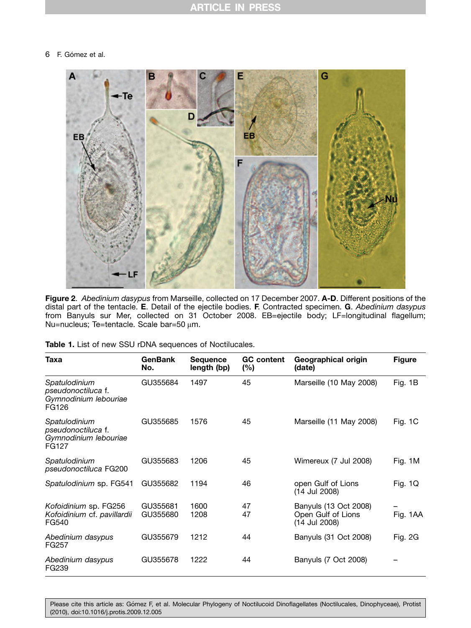<span id="page-5-0"></span>

Figure 2. Abedinium dasypus from Marseille, collected on 17 December 2007. A-D. Different positions of the distal part of the tentacle. E. Detail of the ejectile bodies. F. Contracted specimen. G. Abedinium dasypus from Banyuls sur Mer, collected on 31 October 2008. EB=ejectile body; LF=longitudinal flagellum; Nu=nucleus; Te=tentacle. Scale bar=50  $\mu$ m.

| Table 1. List of new SSU rDNA sequences of Noctilucales. |  |
|----------------------------------------------------------|--|
|----------------------------------------------------------|--|

| Taxa                                                                  | <b>GenBank</b><br>No. | <b>Sequence</b><br>length (bp) | <b>GC content</b><br>(%) | Geographical origin<br>(date)                                | <b>Figure</b> |
|-----------------------------------------------------------------------|-----------------------|--------------------------------|--------------------------|--------------------------------------------------------------|---------------|
| Spatulodinium<br>pseudonoctiluca f.<br>Gymnodinium lebouriae<br>FG126 | GU355684              | 1497                           | 45                       | Marseille (10 May 2008)                                      | Fig. 1B       |
| Spatulodinium<br>pseudonoctiluca f.<br>Gymnodinium lebouriae<br>FG127 | GU355685              | 1576                           | 45                       | Marseille (11 May 2008)                                      | Fig. 1C       |
| Spatulodinium<br>pseudonoctiluca FG200                                | GU355683              | 1206                           | 45                       | Wimereux (7 Jul 2008)                                        | Fig. 1M       |
| Spatulodinium sp. FG541                                               | GU355682              | 1194                           | 46                       | open Gulf of Lions<br>(14 Jul 2008)                          | Fig. 1Q       |
| Kofoidinium sp. FG256<br>Kofoidinium cf. pavillardii<br>FG540         | GU355681<br>GU355680  | 1600<br>1208                   | 47<br>47                 | Banyuls (13 Oct 2008)<br>Open Gulf of Lions<br>(14 Jul 2008) | Fig. 1AA      |
| Abedinium dasypus<br>FG257                                            | GU355679              | 1212                           | 44                       | Banyuls (31 Oct 2008)                                        | Fig. 2G       |
| Abedinium dasypus<br>FG239                                            | GU355678              | 1222                           | 44                       | Banyuls (7 Oct 2008)                                         |               |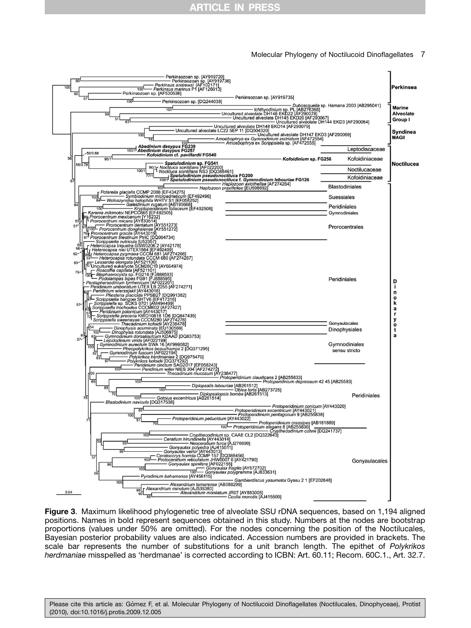#### Molecular Phylogeny of Noctilucoid Dinoflagellates 7

<span id="page-6-0"></span>

Figure 3. Maximum likelihood phylogenetic tree of alveolate SSU rDNA sequences, based on 1,194 aligned positions. Names in bold represent sequences obtained in this study. Numbers at the nodes are bootstrap proportions (values under 50% are omitted). For the nodes concerning the position of the Noctilucales, Bayesian posterior probability values are also indicated. Accession numbers are provided in brackets. The scale bar represents the number of substitutions for a unit branch length. The epithet of *Polykrikos* herdmaniae misspelled as 'herdmanae' is corrected according to ICBN: Art. 60.11; Recom. 60C.1., Art. 32.7.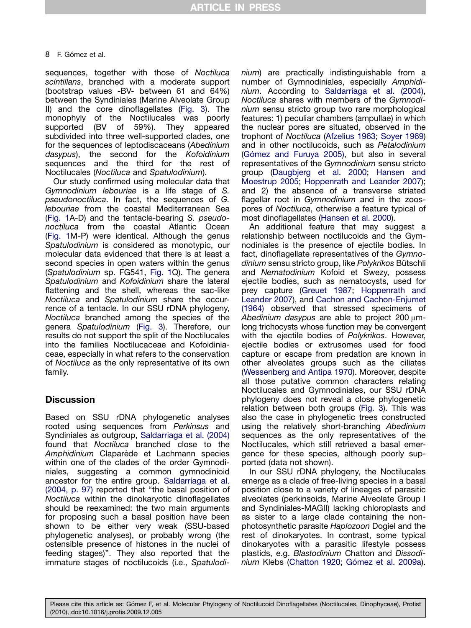sequences, together with those of Noctiluca scintillans, branched with a moderate support (bootstrap values -BV- between 61 and 64%) between the Syndiniales (Marine Alveolate Group II) and the core dinoflagellates ([Fig. 3](#page-6-0)). The monophyly of the Noctilucales was poorly supported (BV of 59%). They appeared subdivided into three well-supported clades, one for the sequences of leptodiscaceans (Abedinium dasypus), the second for the Kofoidinium sequences and the third for the rest of Noctilucales (Noctiluca and Spatulodinium).

Our study confirmed using molecular data that Gymnodinium lebouriae is a life stage of S. pseudonoctiluca. In fact, the sequences of G. lebouriae from the coastal Mediterranean Sea [\(Fig. 1A](#page-2-0)-D) and the tentacle-bearing S. pseudonoctiluca from the coastal Atlantic Ocean [\(Fig. 1](#page-2-0)M-P) were identical. Although the genus Spatulodinium is considered as monotypic, our molecular data evidenced that there is at least a second species in open waters within the genus (Spatulodinium sp. FG541, [Fig. 1Q](#page-2-0)). The genera Spatulodinium and Kofoidinium share the lateral flattening and the shell, whereas the sac-like Noctiluca and Spatulodinium share the occurrence of a tentacle. In our SSU rDNA phylogeny, Noctiluca branched among the species of the genera Spatulodinium [\(Fig. 3](#page-6-0)). Therefore, our results do not support the split of the Noctilucales into the families Noctilucaceae and Kofoidiniaceae, especially in what refers to the conservation of Noctiluca as the only representative of its own family.

# **Discussion**

Based on SSU rDNA phylogenetic analyses rooted using sequences from Perkinsus and Syndiniales as outgroup, [Saldarriaga et al. \(2004\)](#page-11-0) found that Noctiluca branched close to the Amphidinium Claparède et Lachmann species within one of the clades of the order Gymnodiniales, suggesting a common gymnodinioid ancestor for the entire group. [Saldarriaga et al.](#page-11-0) [\(2004, p. 97\)](#page-11-0) reported that ''the basal position of Noctiluca within the dinokaryotic dinoflagellates should be reexamined: the two main arguments for proposing such a basal position have been shown to be either very weak (SSU-based phylogenetic analyses), or probably wrong (the ostensible presence of histones in the nuclei of feeding stages)''. They also reported that the immature stages of noctilucoids (i.e., Spatulodinium) are practically indistinguishable from a number of Gymnodiniales, especially Amphidinium. According to [Saldarriaga et al. \(2004\),](#page-11-0) Noctiluca shares with members of the Gymnodinium sensu stricto group two rare morphological features: 1) peculiar chambers (ampullae) in which the nuclear pores are situated, observed in the trophont of Noctiluca [\(Afzelius 1963](#page-10-0); [Soyer 1969\)](#page-12-0) and in other noctilucoids, such as Petalodinium (Gó[mez and Furuya 2005\)](#page-10-0), but also in several representatives of the Gymnodinium sensu stricto group ([Daugbjerg et al. 2000;](#page-10-0) [Hansen and](#page-11-0) [Moestrup 2005;](#page-11-0) [Hoppenrath and Leander 2007\)](#page-11-0); and 2) the absence of a transverse striated flagellar root in Gymnodinium and in the zoospores of Noctiluca, otherwise a feature typical of most dinoflagellates ([Hansen et al. 2000\)](#page-11-0).

An additional feature that may suggest a relationship between noctilucoids and the Gymnodiniales is the presence of ejectile bodies. In fact, dinoflagellate representatives of the Gymnodinium sensu stricto group, like Polykrikos Bütschli and Nematodinium Kofoid et Swezy, possess ejectile bodies, such as nematocysts, used for prey capture ([Greuet 1987](#page-11-0); [Hoppenrath and](#page-11-0) [Leander 2007](#page-11-0)), and [Cachon and Cachon-Enjumet](#page-10-0) [\(1964\)](#page-10-0) observed that stressed specimens of Abedinium dasypus are able to project 200 umlong trichocysts whose function may be convergent with the ejectile bodies of Polykrikos. However, ejectile bodies or extrusomes used for food capture or escape from predation are known in other alveolates groups such as the ciliates [\(Wessenberg and Antipa 1970\)](#page-12-0). Moreover, despite all those putative common characters relating Noctilucales and Gymnodiniales, our SSU rDNA phylogeny does not reveal a close phylogenetic relation between both groups ([Fig. 3\)](#page-6-0). This was also the case in phylogenetic trees constructed using the relatively short-branching Abedinium sequences as the only representatives of the Noctilucales, which still retrieved a basal emergence for these species, although poorly supported (data not shown).

In our SSU rDNA phylogeny, the Noctilucales emerge as a clade of free-living species in a basal position close to a variety of lineages of parasitic alveolates (perkinsoids, Marine Alveolate Group I and Syndiniales-MAGII) lacking chloroplasts and as sister to a large clade containing the nonphotosynthetic parasite Haplozoon Dogiel and the rest of dinokaryotes. In contrast, some typical dinokaryotes with a parasitic lifestyle possess plastids, e.g. Blastodinium Chatton and Dissodi-nium Klebs ([Chatton 1920;](#page-10-0) Gó[mez et al. 2009a\)](#page-11-0).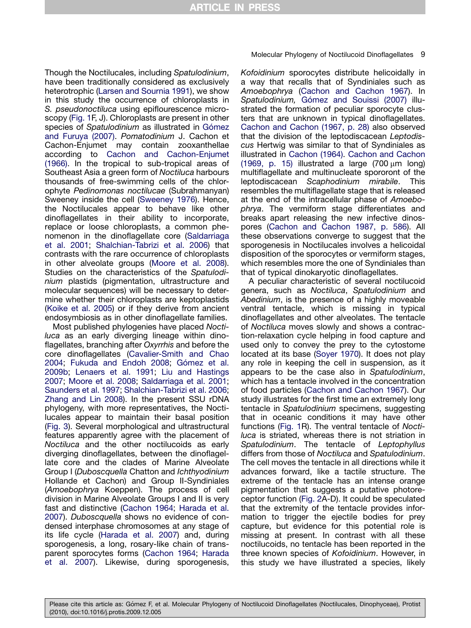Though the Noctilucales, including Spatulodinium, have been traditionally considered as exclusively heterotrophic [\(Larsen and Sournia 1991](#page-11-0)), we show in this study the occurrence of chloroplasts in S. pseudonoctiluca using epiflourescence microscopy [\(Fig. 1F](#page-2-0), J). Chloroplasts are present in other species of Spatulodinium as illustrated in Gó[mez](#page-11-0) [and Furuya \(2007\)](#page-11-0). Pomatodinium J. Cachon et Cachon-Enjumet may contain zooxanthellae according to [Cachon and Cachon-Enjumet](#page-10-0) [\(1966\)](#page-10-0). In the tropical to sub-tropical areas of Southeast Asia a green form of Noctiluca harbours thousands of free-swimming cells of the chlorophyte Pedinomonas noctilucae (Subrahmanyan) Sweeney inside the cell ([Sweeney 1976\)](#page-12-0). Hence, the Noctilucales appear to behave like other dinoflagellates in their ability to incorporate, replace or loose chloroplasts, a common phenomenon in the dinoflagellate core ([Saldarriaga](#page-11-0) [et al. 2001](#page-11-0); [Shalchian-Tabrizi et al. 2006\)](#page-11-0) that contrasts with the rare occurrence of chloroplasts in other alveolate groups ([Moore et al. 2008](#page-11-0)). Studies on the characteristics of the Spatulodinium plastids (pigmentation, ultrastructure and molecular sequences) will be necessary to determine whether their chloroplasts are keptoplastids [\(Koike et al. 2005\)](#page-11-0) or if they derive from ancient endosymbiosis as in other dinoflagellate families.

Most published phylogenies have placed Noctiluca as an early diverging lineage within dinoflagellates, branching after Oxyrrhis and before the core dinoflagellates [\(Cavalier-Smith and Chao](#page-10-0) [2004;](#page-10-0) [Fukuda and Endoh 2008](#page-10-0); Gó[mez et al.](#page-11-0) [2009b](#page-11-0); [Lenaers et al. 1991](#page-11-0); [Liu and Hastings](#page-11-0) [2007;](#page-11-0) [Moore et al. 2008;](#page-11-0) [Saldarriaga et al. 2001;](#page-11-0) [Saunders et al. 1997;](#page-11-0) [Shalchian-Tabrizi et al. 2006;](#page-11-0) [Zhang and Lin 2008](#page-12-0)). In the present SSU rDNA phylogeny, with more representatives, the Noctilucales appear to maintain their basal position [\(Fig. 3](#page-6-0)). Several morphological and ultrastructural features apparently agree with the placement of Noctiluca and the other noctilucoids as early diverging dinoflagellates, between the dinoflagellate core and the clades of Marine Alveolate Group I (Duboscquella Chatton and Ichthyodinium Hollande et Cachon) and Group II-Syndiniales (Amoebophrya Koeppen). The process of cell division in Marine Alveolate Groups I and II is very fast and distinctive [\(Cachon 1964](#page-10-0); [Harada](#page-11-0) et al. [2007\)](#page-11-0). Duboscquella shows no evidence of condensed interphase chromosomes at any stage of its life cycle [\(Harada et al. 2007](#page-11-0)) and, during sporogenesis, a long, rosary-like chain of transparent sporocytes forms [\(Cachon 1964;](#page-10-0) [Harada](#page-11-0) [et al. 2007](#page-11-0)). Likewise, during sporogenesis,

#### Molecular Phylogeny of Noctilucoid Dinoflagellates 9

Kofoidinium sporocytes distribute helicoidally in a way that recalls that of Syndiniales such as Amoebophrya ([Cachon and Cachon 1967](#page-10-0)). In Spatulodinium, Gó[mez and Souissi \(2007\)](#page-11-0) illustrated the formation of peculiar sporocyte clusters that are unknown in typical dinoflagellates. [Cachon and Cachon \(1967, p. 28\)](#page-10-0) also observed that the division of the leptodiscacean Leptodiscus Hertwig was similar to that of Syndiniales as illustrated in [Cachon \(1964\).](#page-10-0) [Cachon and Cachon](#page-10-0) [\(1969, p. 15\)](#page-10-0) illustrated a large  $(700 \mu m \text{ long})$ multiflagellate and multinucleate spororont of the leptodiscacean Scaphodinium mirabile. This resembles the multiflagellate stage that is released at the end of the intracellular phase of Amoebophrya. The vermiform stage differentiates and breaks apart releasing the new infective dinospores [\(Cachon and Cachon 1987, p. 586\)](#page-10-0). All these observations converge to suggest that the sporogenesis in Noctilucales involves a helicoidal disposition of the sporocytes or vermiform stages, which resembles more the one of Syndiniales than that of typical dinokaryotic dinoflagellates.

A peculiar characteristic of several noctilucoid genera, such as Noctiluca, Spatulodinium and Abedinium, is the presence of a highly moveable ventral tentacle, which is missing in typical dinoflagellates and other alveolates. The tentacle of Noctiluca moves slowly and shows a contraction-relaxation cycle helping in food capture and used only to convey the prey to the cytostome located at its base ([Soyer 1970\)](#page-12-0). It does not play any role in keeping the cell in suspension, as it appears to be the case also in Spatulodinium, which has a tentacle involved in the concentration of food particles ([Cachon and Cachon 1967\)](#page-10-0). Our study illustrates for the first time an extremely long tentacle in Spatulodinium specimens, suggesting that in oceanic conditions it may have other functions [\(Fig. 1](#page-2-0)R). The ventral tentacle of Noctiluca is striated, whereas there is not striation in Spatulodinium. The tentacle of Leptophyllus differs from those of Noctiluca and Spatulodinium. The cell moves the tentacle in all directions while it advances forward, like a tactile structure. The extreme of the tentacle has an intense orange pigmentation that suggests a putative photoreceptor function [\(Fig. 2](#page-5-0)A-D). It could be speculated that the extremity of the tentacle provides information to trigger the ejectile bodies for prey capture, but evidence for this potential role is missing at present. In contrast with all these noctilucoids, no tentacle has been reported in the three known species of Kofoidinium. However, in this study we have illustrated a species, likely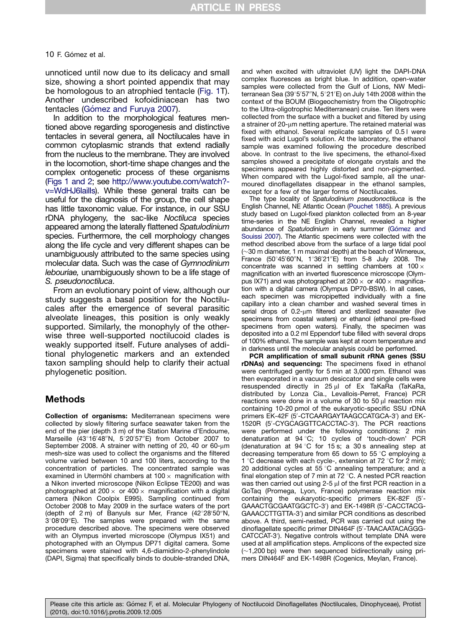unnoticed until now due to its delicacy and small size, showing a short pointed appendix that may be homologous to an atrophied tentacle ([Fig. 1T](#page-2-0)). Another undescribed kofoidiniacean has two tentacles (Gó[mez and Furuya 2007\)](#page-11-0).

In addition to the morphological features mentioned above regarding sporogenesis and distinctive tentacles in several genera, all Noctilucales have in common cytoplasmic strands that extend radially from the nucleus to the membrane. They are involved in the locomotion, short-time shape changes and the complex ontogenetic process of these organisms [\(Figs 1 and 2;](#page-2-0) see [http://www.youtube.com/watch?](http://www.youtube.com/watch?v=WdHJ6IailIs) [v=WdHJ6IailIs](http://www.youtube.com/watch?v=WdHJ6IailIs)). While these general traits can be useful for the diagnosis of the group, the cell shape has little taxonomic value. For instance, in our SSU rDNA phylogeny, the sac-like Noctiluca species appeared among the laterally flattened Spatulodinium species. Furthermore, the cell morphology changes along the life cycle and very different shapes can be unambiguously attributed to the same species using molecular data. Such was the case of Gymnodinium lebouriae, unambiguously shown to be a life stage of S. pseudonoctiluca.

From an evolutionary point of view, although our study suggests a basal position for the Noctilucales after the emergence of several parasitic alveolate lineages, this position is only weakly supported. Similarly, the monophyly of the otherwise three well-supported noctilucoid clades is weakly supported itself. Future analyses of additional phylogenetic markers and an extended taxon sampling should help to clarify their actual phylogenetic position.

# Methods

Collection of organisms: Mediterranean specimens were collected by slowly filtering surface seawater taken from the end of the pier (depth 3 m) of the Station Marine d'Endoume, Marseille (43°16'48"N, 5°20'57"E) from October 2007 to September 2008. A strainer with netting of 20, 40 or 60- $\mu$ m mesh-size was used to collect the organisms and the filtered volume varied between 10 and 100 liters, according to the concentration of particles. The concentrated sample was examined in Utermöhl chambers at 100  $\times$  magnification with a Nikon inverted microscope (Nikon Eclipse TE200) and was photographed at 200  $\times$  or 400  $\times$  magnification with a digital camera (Nikon Coolpix E995). Sampling continued from October 2008 to May 2009 in the surface waters of the port (depth of  $2 \text{ m}$ ) of Banyuls sur Mer, France  $(42^{\circ}28'50''N,$ 3°08'09"E). The samples were prepared with the same procedure described above. The specimens were observed with an Olympus inverted microscope (Olympus IX51) and photographed with an Olympus DP71 digital camera. Some specimens were stained with 4,6-diamidino-2-phenylindole (DAPI, Sigma) that specifically binds to double-stranded DNA, and when excited with ultraviolet (UV) light the DAPI-DNA complex fluoresces as bright blue. In addition, open-water samples were collected from the Gulf of Lions, NW Mediterranean Sea (39°5'57"N, 5°21'E) on July 14th 2008 within the context of the BOUM (Biogeochemistry from the Oligotrophic to the Ultra-oligotrophic Mediterranean) cruise. Ten liters were collected from the surface with a bucket and filtered by using a strainer of  $20$ - $\mu$ m netting aperture. The retained material was fixed with ethanol. Several replicate samples of 0.5 l were fixed with acid Lugol's solution. At the laboratory, the ethanol sample was examined following the procedure described above. In contrast to the live specimens, the ethanol-fixed samples showed a precipitate of elongate crystals and the specimens appeared highly distorted and non-pigmented. When compared with the Lugol-fixed sample, all the unarmoured dinoflagellates disappear in the ethanol samples, except for a few of the larger forms of Noctilucales.

The type locality of Spatulodinium pseudonoctiluca is the English Channel, NE Atlantic Ocean [\(Pouchet 1885\)](#page-11-0). A previous study based on Lugol-fixed plankton collected from an 8-year time-series in the NE English Channel, revealed a higher abundance of Spatulodinium in early summer (Gó[mez and](#page-11-0) [Souissi 2007\)](#page-11-0). The Atlantic specimens were collected with the method described above from the surface of a large tidal pool  $(\sim]30$  m diameter, 1 m maximal depth) at the beach of Wimereux, France (50°45'60"N, 1°36'21"E) from 5-8 July 2008. The concentrate was scanned in settling chambers at  $100 \times$ magnification with an inverted fluorescence microscope (Olympus IX71) and was photographed at  $200 \times$  or  $400 \times$  magnification with a digital camera (Olympus DP70-BSW). In all cases, each specimen was micropipetted individually with a fine capillary into a clean chamber and washed several times in serial drops of 0.2-um filtered and sterilized seawater (live specimens from coastal waters) or ethanol (ethanol pre-fixed specimens from open waters). Finally, the specimen was deposited into a 0.2 ml Eppendorf tube filled with several drops of 100% ethanol. The sample was kept at room temperature and in darkness until the molecular analysis could be performed.

PCR amplification of small subunit rRNA genes (SSU rDNAs) and sequencing: The specimens fixed in ethanol were centrifuged gently for 5 min at 3,000 rpm. Ethanol was then evaporated in a vacuum desiccator and single cells were resuspended directly in  $25 \mu l$  of Ex TaKaRa (TaKaRa, distributed by Lonza Cia., Levallois-Perret, France) PCR reactions were done in a volume of 30 to 50  $\mu$ l reaction mix containing 10-20 pmol of the eukaryotic-specific SSU rDNA primers EK-42F (5'-CTCAARGAYTAAGCCATGCA-3') and EK-1520R (5'-CYGCAGGTTCACCTAC-3'). The PCR reactions were performed under the following conditions: 2 min denaturation at 94 °C; 10 cycles of 'touch-down' PCR (denaturation at 94 °C for 15 s; a 30 s annealing step at decreasing temperature from 65 down to 55 °C employing a 1  $\degree$ C decrease with each cycle-, extension at 72  $\degree$ C for 2 min); 20 additional cycles at 55 $^{\circ}$ C annealing temperature; and a final elongation step of 7 min at 72  $^{\circ}$ C. A nested PCR reaction was then carried out using 2-5 µl of the first PCR reaction in a GoTaq (Promega, Lyon, France) polymerase reaction mix containing the eukaryotic-specific primers EK-82F (5'-GAAACTGCGAATGGCTC-3') and EK-1498R (5'-CACCTACG-GAAACCTTGTTA-3') and similar PCR conditions as described above. A third, semi-nested, PCR was carried out using the dinoflagellate specific primer DIN464F (5'-TAACAATACAGGG-CATCCAT-3'). Negative controls without template DNA were used at all amplification steps. Amplicons of the expected size  $(\sim$ 1,200 bp) were then sequenced bidirectionally using primers DIN464F and EK-1498R (Cogenics, Meylan, France).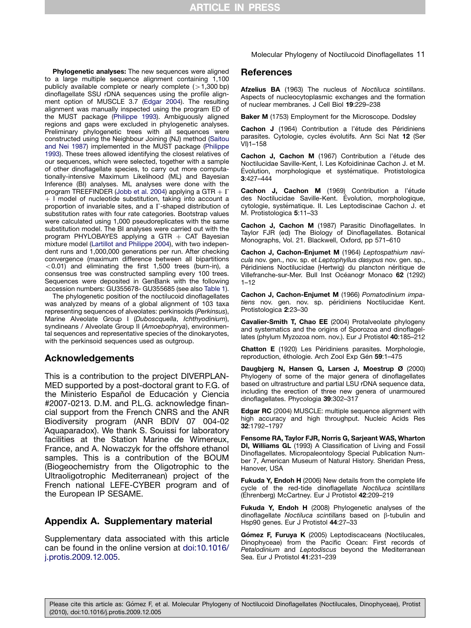<span id="page-10-0"></span>Phylogenetic analyses: The new sequences were aligned to a large multiple sequence alignment containing 1,100 publicly available complete or nearly complete  $(>1,300$  bp) dinoflagellate SSU rDNA sequences using the profile alignment option of MUSCLE 3.7 (Edgar 2004). The resulting alignment was manually inspected using the program ED of the MUST package ([Philippe 1993\)](#page-11-0). Ambiguously aligned regions and gaps were excluded in phylogenetic analyses. Preliminary phylogenetic trees with all sequences were constructed using the Neighbour Joining (NJ) method ([Saitou](#page-11-0) [and Nei 1987](#page-11-0)) implemented in the MUST package [\(Philippe](#page-11-0) [1993](#page-11-0)). These trees allowed identifying the closest relatives of our sequences, which were selected, together with a sample of other dinoflagellate species, to carry out more computationally-intensive Maximum Likelihood (ML) and Bayesian Inference (BI) analyses. ML analyses were done with the program TREEFINDER [\(Jobb et al. 2004\)](#page-11-0) applying a GTR  $+ \Gamma$  $+$  I model of nucleotide substitution, taking into account a proportion of invariable sites, and a  $\Gamma$ -shaped distribution of substitution rates with four rate categories. Bootstrap values were calculated using 1,000 pseudoreplicates with the same substitution model. The BI analyses were carried out with the program PHYLOBAYES applying a GTR  $+$  CAT Bayesian mixture model ([Lartillot and Philippe 2004](#page-11-0)), with two independent runs and 1,000,000 generations per run. After checking convergence (maximum difference between all bipartitions  $(0.01)$  and eliminating the first 1,500 trees (burn-in), a consensus tree was constructed sampling every 100 trees. Sequences were deposited in GenBank with the following accession numbers: GU355678- GU355685 (see also [Table 1](#page-5-0)).

The phylogenetic position of the noctilucoid dinoflagellates was analyzed by means of a global alignment of 103 taxa representing sequences of alveolates: perkinsoids (Perkinsus), Marine Alveolate Group I (Duboscquella, Ichthyodinium), syndineans / Alveolate Group II (Amoebophrya), environmental sequences and representative species of the dinokaryotes, with the perkinsoid sequences used as outgroup.

#### Acknowledgements

This is a contribution to the project DIVERPLAN-MED supported by a post-doctoral grant to F.G. of the Ministerio Español de Educación y Ciencia #2007-0213. D.M. and P.L.G. acknowledge financial support from the French CNRS and the ANR Biodiversity program (ANR BDIV 07 004-02 -Aquaparadox). We thank S. Souissi for laboratory facilities at the Station Marine de Wimereux, France, and A. Nowaczyk for the offshore ethanol samples. This is a contribution of the BOUM (Biogeochemistry from the Oligotrophic to the Ultraoligotrophic Mediterranean) project of the French national LEFE-CYBER program and of the European IP SESAME.

# Appendix A. Supplementary material

Supplementary data associated with this article can be found in the online version at [doi:10.1016/](doi:10.1016/j.protis.2009.12.005) [j.protis.2009.12.005.](doi:10.1016/j.protis.2009.12.005)

Molecular Phylogeny of Noctilucoid Dinoflagellates 11

#### References

Afzelius BA (1963) The nucleus of Noctiluca scintillans. Aspects of nucleocytoplasmic exchanges and the formation of nuclear membranes. J Cell Biol 19:229–238

Baker M (1753) Employment for the Microscope. Dodsley

Cachon J (1964) Contribution a l'étude des Péridiniens parasites. Cytologie, cycles évolutifs. Ann Sci Nat 12 (Ser VI)1–158

Cachon J, Cachon M (1967) Contribution a l'étude des Noctilucidae Saville-Kent, I. Les Kofoidininae Cachon J. et M. Évolution, morphologique et systématique. Protistologica 3:427–444

Cachon J, Cachon M (1969) Contribution a l'étude des Noctilucidae Saville-Kent. Évolution, morphologique, cytologie, systématique. II. Les Leptodiscinae Cachon J. et M. Protistologica 5:11–33

Cachon J, Cachon M (1987) Parasitic Dinoflagellates. In Taylor FJR (ed) The Biology of Dinoflagellates. Botanical Monographs, Vol. 21. Blackwell, Oxford, pp 571–610

Cachon J, Cachon-Enjumet M (1964) Leptospathium navicula nov. gen., nov. sp. et Leptophyllus dasypus nov. gen. sp., Péridiniens Noctilucidae (Hertwig) du plancton néritique de Villefranche-sur-Mer. Bull Inst Océanogr Monaco 62 (1292)  $1 - 12$ 

Cachon J, Cachon-Enjumet M (1966) Pomatodinium impatiens nov. gen. nov. sp. péridiniens Noctilucidae Kent. Protistologica 2:23–30

Cavalier-Smith T, Chao EE (2004) Protalveolate phylogeny and systematics and the origins of Sporozoa and dinoflagellates (phylum Myzozoa nom. nov.). Eur J Protistol 40:185–212

Chatton E (1920) Les Péridiniens parasites. Morphologie, reproduction, éthologie. Arch Zool Exp Gén 59:1-475

Daugbjerg N, Hansen G, Larsen J, Moestrup Ø (2000) Phylogeny of some of the major genera of dinoflagellates based on ultrastructure and partial LSU rDNA sequence data, including the erection of three new genera of unarmoured dinoflagellates. Phycologia 39:302–317

Edgar RC (2004) MUSCLE: multiple sequence alignment with high accuracy and high throughput. Nucleic Acids Res 32:1792–1797

Fensome RA, Taylor FJR, Norris G, Sarjeant WAS, Wharton DI, Williams GL (1993) A Classification of Living and Fossil Dinoflagellates. Micropaleontology Special Publication Number 7, American Museum of Natural History. Sheridan Press, Hanover, USA

Fukuda Y, Endoh H (2006) New details from the complete life cycle of the red-tide dinoflagellate Noctiluca scintillans (Ehrenberg) McCartney. Eur J Protistol 42:209–219

Fukuda Y, Endoh H (2008) Phylogenetic analyses of the dinoflagellate Noctiluca scintillans based on b-tubulin and Hsp90 genes. Eur J Protistol 44:27–33

Gómez F, Furuya K (2005) Leptodiscaceans (Noctilucales, Dinophyceae) from the Pacific Ocean: First records of Petalodinium and Leptodiscus beyond the Mediterranean Sea. Eur J Protistol 41:231–239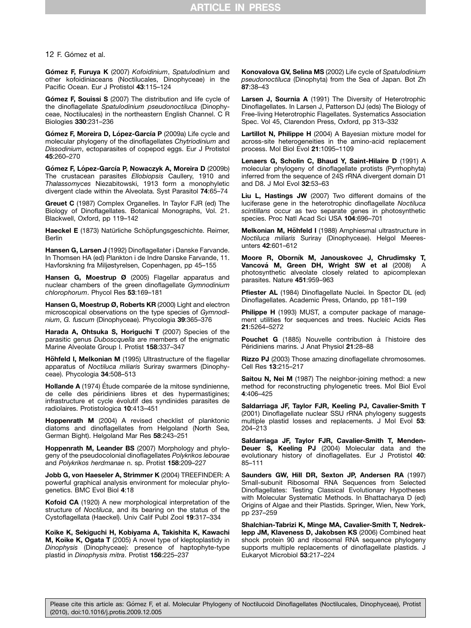<span id="page-11-0"></span>Gómez F, Furuya K (2007) Kofoidinium, Spatulodinium and other kofoidiniaceans (Noctilucales, Dinophyceae) in the Pacific Ocean. Eur J Protistol 43:115–124

Gómez F. Souissi S (2007) The distribution and life cycle of the dinoflagellate Spatulodinium pseudonoctiluca (Dinophyceae, Noctilucales) in the northeastern English Channel. C R Biologies 330:231–236

Gómez F, Moreira D, López-García P (2009a) Life cycle and molecular phylogeny of the dinoflagellates Chytriodinium and Dissodinium, ectoparasites of copepod eggs. Eur J Protistol 45:260–270

Gómez F, López-García P, Nowaczyk A, Moreira D (2009b) The crustacean parasites Ellobiopsis Caullery, 1910 and Thalassomyces Niezabitowski, 1913 form a monophyletic divergent clade within the Alveolata. Syst Parasitol 74:65–74

Greuet C (1987) Complex Organelles. In Taylor FJR (ed) The Biology of Dinoflagellates. Botanical Monographs, Vol. 21. Blackwell, Oxford, pp 119–142

Haeckel E (1873) Natürliche Schöpfungsgeschichte. Reimer, Berlin

Hansen G, Larsen J (1992) Dinoflagellater i Danske Farvande. In Thomsen HA (ed) Plankton i de Indre Danske Farvande, 11. Havforskning fra Miljøstyrelsen, Copenhagen, pp 45–155

Hansen G, Moestrup Ø (2005) Flagellar apparatus and nuclear chambers of the green dinoflagellate Gymnodinium chlorophorum. Phycol Res 53:169–181

Hansen G, Moestrup Ø, Roberts KR (2000) Light and electron microscopical observations on the type species of Gymnodinium, G. fuscum (Dinophyceae). Phycologia 39:365–376

Harada A, Ohtsuka S, Horiguchi T (2007) Species of the parasitic genus Duboscquella are members of the enigmatic Marine Alveolate Group I. Protist 158:337–347

Höhfeld I, Melkonian M (1995) Ultrastructure of the flagellar apparatus of Noctiluca miliaris Suriray swarmers (Dinophyceae). Phycologia 34:508–513

Hollande A (1974) Étude comparée de la mitose syndinienne, de celle des péridiniens libres et des hypermastigines; infrastructure et cycle évolutif des syndinides parasites de radiolaires. Protistologica 10:413–451

Hoppenrath M (2004) A revised checklist of planktonic diatoms and dinoflagellates from Helgoland (North Sea, German Bight). Helgoland Mar Res 58:243–251

Hoppenrath M, Leander BS (2007) Morphology and phylogeny of the pseudocolonial dinoflagellates Polykrikos lebourae and Polykrikos herdmanae n. sp. Protist 158:209-227

Jobb G, von Haeseler A, Strimmer K (2004) TREEFINDER: A powerful graphical analysis environment for molecular phylogenetics. BMC Evol Biol 4:18

Kofoid CA (1920) A new morphological interpretation of the structure of Noctiluca, and its bearing on the status of the Cystoflagellata (Haeckel). Univ Calif Publ Zool 19:317–334

Koike K, Sekiguchi H, Kobiyama A, Takishita K, Kawachi M, Koike K, Ogata T (2005) A novel type of kleptoplastidy in Dinophysis (Dinophyceae): presence of haptophyte-type plastid in Dinophysis mitra. Protist 156:225–237

Konovalova GV, Selina MS (2002) Life cycle of Spatulodinium pseudonoctiluca (Dinophyta) from the Sea of Japan. Bot Zh 87:38–43

Larsen J. Sournia A (1991) The Diversity of Heterotrophic Dinoflagellates. In Larsen J, Patterson DJ (eds) The Biology of Free-living Heterotrophic Flagellates. Systematics Association Spec. Vol 45, Clarendon Press, Oxford, pp 313–332

Lartillot N, Philippe H (2004) A Bayesian mixture model for across-site heterogeneities in the amino-acid replacement process. Mol Biol Evol 21:1095–1109

Lenaers G, Scholin C, Bhaud Y, Saint-Hilaire D (1991) A molecular phylogeny of dinoflagellate protists (Pyrrhophyta) inferred from the sequence of 24S rRNA divergent domain D1 and D8. J Mol Evol 32:53–63

Liu L, Hastings JW (2007) Two different domains of the luciferase gene in the heterotrophic dinoflagellate Noctiluca scintillans occur as two separate genes in photosynthetic species. Proc Natl Acad Sci USA 104:696–701

Melkonian M, Höhfeld I (1988) Amphiesmal ultrastructure in Noctiluca miliaris Suriray (Dinophyceae). Helgol Meeresunters 42:601–612

Moore R, Oborník M, Janouskovec J, Chrudimsky T, Vancová M, Green DH, Wright SW et al (2008) A photosynthetic alveolate closely related to apicomplexan parasites. Nature 451:959–963

Pfiester AL (1984) Dinoflagellate Nuclei. In Spector DL (ed) Dinoflagellates. Academic Press, Orlando, pp 181–199

Philippe H (1993) MUST, a computer package of management utilities for sequences and trees. Nucleic Acids Res 21:5264–5272

Pouchet G (1885) Nouvelle contribution à l'histoire des Péridiniens marins. J Anat Physiol 21:28-88

Rizzo PJ (2003) Those amazing dinoflagellate chromosomes. Cell Res 13:215–217

Saitou N, Nei M (1987) The neighbor-joining method: a new method for reconstructing phylogenetic trees. Mol Biol Evol 4:406–425

Saldarriaga JF, Taylor FJR, Keeling PJ, Cavalier-Smith T (2001) Dinoflagellate nuclear SSU rRNA phylogeny suggests multiple plastid losses and replacements. J Mol Evol 53: 204–213

Saldarriaga JF, Taylor FJR, Cavalier-Smith T, Menden-Deuer S, Keeling PJ (2004) Molecular data and the evolutionary history of dinoflagellates. Eur J Protistol 40: 85–111

Saunders GW, Hill DR, Sexton JP, Andersen RA (1997) Small-subunit Ribosomal RNA Sequences from Selected Dinoflagellates: Testing Classical Evolutionary Hypotheses with Molecular Systematic Methods. In Bhattacharya D (ed) Origins of Algae and their Plastids. Springer, Wien, New York, pp 237–259

Shalchian-Tabrizi K, Minge MA, Cavalier-Smith T, Nedreklepp JM, Klaveness D, Jakobsen KS (2006) Combined heat shock protein 90 and ribosomal RNA sequence phylogeny supports multiple replacements of dinoflagellate plastids. J Eukaryot Microbiol 53:217–224